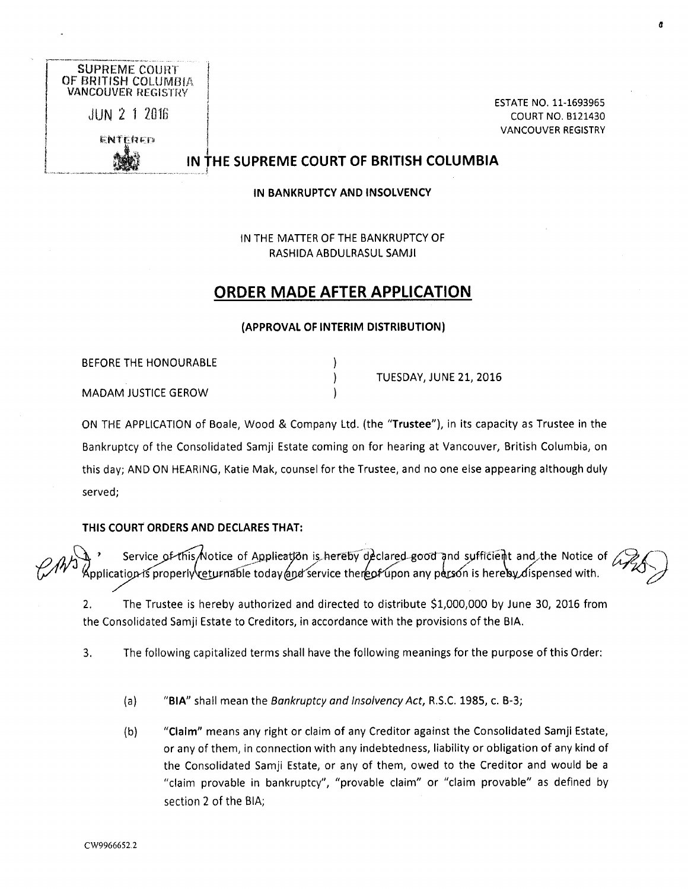

COURT NO. 6121430 VANCOUVER REGISTRY

## IN THE SUPREME COURT OF BRITISH COLUMBIA

IN BANKRUPTCY AND INSOLVENCY

IN THE MATTER OF THE BANKRUPTCY OF RASHIDA ABDULRASUL SAM11

# ORDER MADE AFTER APPLICATION

#### (APPROVAL OF INTERIM DISTRIBUTION)

 $\mathcal{E}$  $\mathcal{V}$ 

BEFORE THE HONOURABLE MADAM JUSTICE GEROW

TUESDAY, JUNE 21, 2016

ON THE APPLICATION of Boale, Wood & Company Ltd. (the "Trustee"), in its capacity as Trustee in the Bankruptcy of the Consolidated Samji Estate coming on for hearing at Vancouver, British Columbia, on this day; AND ON HEARING, Katie Mak, counsel for the Trustee, and no one else appearing although duly served;

## THIS COURT ORDERS AND DECLARES THAT:

' Service of this Notice of Application is hereby declared-good and sufficient and the Notice of  $\Lambda$  $~^\sim$   $~^\sim$   $~^\sim$   $~^\sim$   $~^\sim$   $~^\sim$   $~^\sim$   $~^\sim$   $~^\sim$   $~^\sim$   $~^\sim$   $~^\sim$   $~^\sim$   $~^\sim$   $~^\sim$   $~^\sim$   $~^\sim$   $~^\sim$   $~^\sim$   $~^\sim$   $~^\sim$   $~^\sim$   $~^\sim$   $~^\sim$   $~^\sim$   $~^\sim$   $~^\sim$   $~^\sim$   $~^\sim$   $~^\sim$   $~^\sim$   $~^\sim$   $~^\sim$   $~^\sim$   $~^\sim$   $~^\sim$   $~^\sim$ 

a

2. The Trustee is hereby authorized and directed to distribute \$1,000,000 by June 30, 2016 from the Consolidated Samji Estate to Creditors, in accordance with the provisions of the BIA.

3. The following capitalized terms shall have the following meanings for the purpose of this Order:

(a) "BIA" shall mean the Bankruptcy and lnsolvencyAct, R.S.C. 1985, c. B-3;

(b) "Claim" means any right or claim of any Creditor against the Consolidated Samji Estate, or any of them, in connection with any indebtedness, liability or obligation of any kind of the Consolidated Samji Estate, or any of them, owed to the Creditor and would be a "claim provable in bankruptcy", "provable claim" or "claim provable" as defined by section 2 of the BIA;

CW9966652.2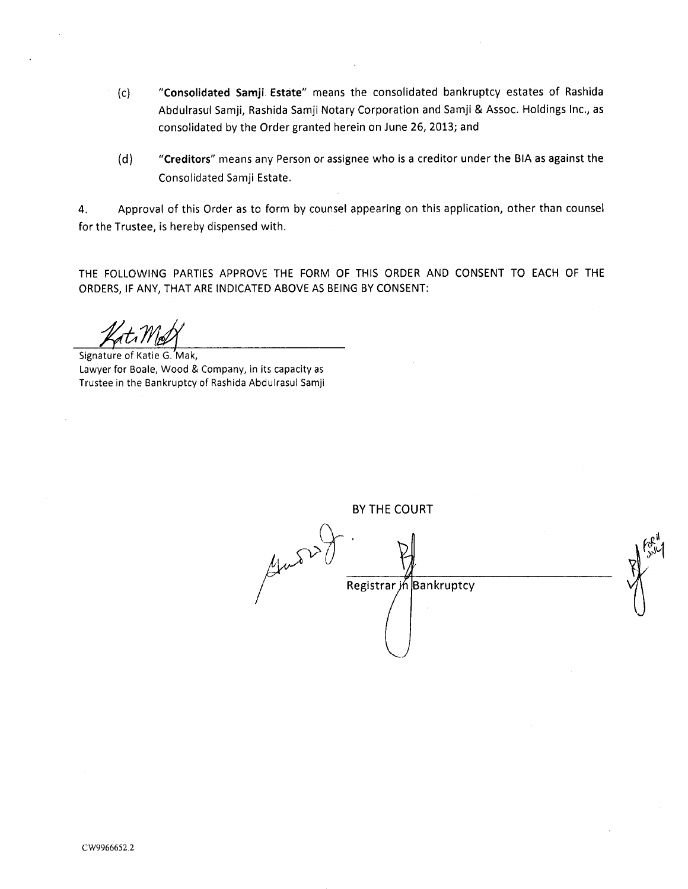- (c) "Consolidated Samji. Estate" means the consolidated bankruptcy estates of Rashida Abdulrasul Samji, Rashida Samji Notary Corporation and Samji & Assoc. Holdings Inc., as consolidated by the Order granted herein on June 26, 2013; and
- (d) "Creditors" means any Person or assignee who is a creditor under the BIA as against the Consolidated Samji Estate.

4. Approval of this Order as to form by counsel appearing on this application, other than counsel for the Trustee, is hereby dispensed with

THE FOLLOWING PARTIES APPROVE THE FORM OF THIS ORDER AND CONSENT TO EACH OF THE ORDERS, IF ANY, THAT ARE INDICATED ABOVE AS BEING BY CONSENT:

Signature of Katie G. Mak, Lawyer for Boale, Wood & Company, in its capacity as Trustee in the Bankruptcy of Rashida Abdulrasul Samji

BY THE COURT Guessit .1  $r_{\omega}$ Registrar jń Bankruptcy 1